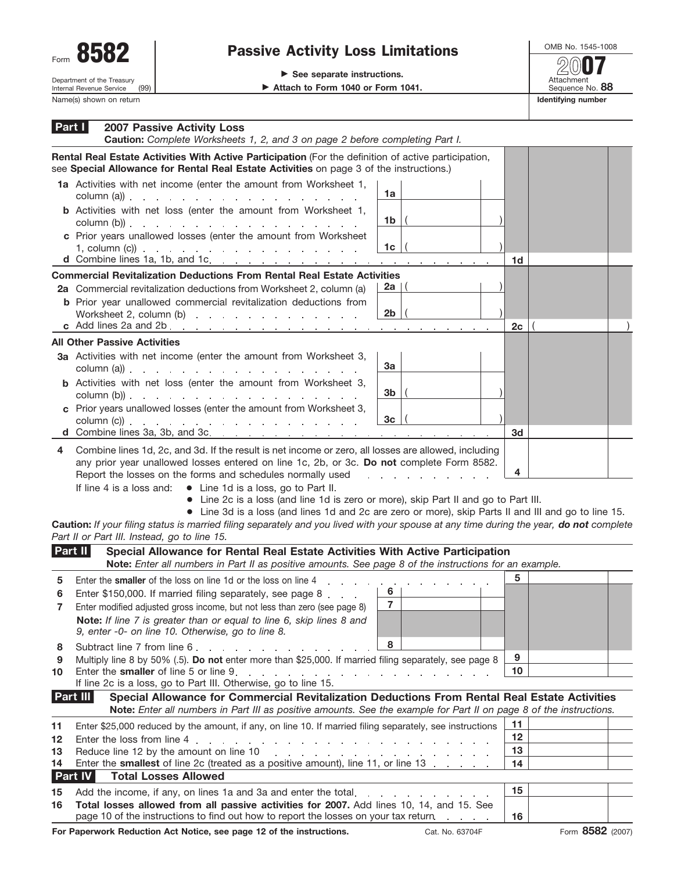

## Form 8582 Passive Activity Loss Limitations  $\begin{array}{|c|c|c|}\n\hline\n\text{Form} & 8582 & \text{Passive Activity Loss Limitations} & \text{OMB No. 1545-1008} \\
\hline\n\end{array}$

▶ Attach to Form 1040 or Form 1041.

Attachment Sequence No. **88** Name(s) shown on return **Identifying number Identifying number Identifying number 20**07

| Rental Real Estate Activities With Active Participation (For the definition of active participation,<br>see Special Allowance for Rental Real Estate Activities on page 3 of the instructions.)<br>1a Activities with net income (enter the amount from Worksheet 1,<br>1a<br>$\text{column (a)}$ $\qquad \qquad$ $\qquad \qquad$ $\qquad$ $\qquad$ $\qquad$ $\qquad$ $\qquad$ $\qquad$ $\qquad$ $\qquad$ $\qquad$ $\qquad$ $\qquad$ $\qquad$ $\qquad$ $\qquad$ $\qquad$ $\qquad$ $\qquad$ $\qquad$ $\qquad$ $\qquad$ $\qquad$ $\qquad$ $\qquad$ $\qquad$ $\qquad$ $\qquad$ $\qquad$ $\qquad$ $\qquad$ $\qquad$ $\qquad$ $\qquad$<br><b>b</b> Activities with net loss (enter the amount from Worksheet 1,<br>1 <sub>b</sub><br>$\text{column (b)}$ .<br>c Prior years unallowed losses (enter the amount from Worksheet<br>1c<br>1, column (c)) $\cdots$ $\cdots$ $\cdots$ $\cdots$ $\cdots$ $\cdots$ $\cdots$<br>1d<br><b>Commercial Revitalization Deductions From Rental Real Estate Activities</b><br>2a   (<br>2a Commercial revitalization deductions from Worksheet 2, column (a)<br><b>b</b> Prior year unallowed commercial revitalization deductions from<br>2b<br>2c<br><b>All Other Passive Activities</b><br>3a Activities with net income (enter the amount from Worksheet 3,<br>За<br>$\text{column (a)}$ $\ldots$ $\ldots$ $\ldots$ $\ldots$ $\ldots$ $\ldots$ $\ldots$<br><b>b</b> Activities with net loss (enter the amount from Worksheet 3,<br>3b<br>$\text{column (b)}$ $\ldots$ $\ldots$ $\ldots$ $\ldots$ $\ldots$ $\ldots$<br>c Prior years unallowed losses (enter the amount from Worksheet 3,<br>3c<br>$\text{column (c))}$<br>d Combine lines 3a, 3b, and 3c.<br>3d<br>Combine lines 1d, 2c, and 3d. If the result is net income or zero, all losses are allowed, including<br>4<br>any prior year unallowed losses entered on line 1c, 2b, or 3c. Do not complete Form 8582.<br>4<br>Report the losses on the forms and schedules normally used<br>the contract of the contract of the contract of the contract of the contract of the contract of the contract of<br>If line 4 is a loss and: $\bullet$ Line 1d is a loss, go to Part II.<br>• Line 2c is a loss (and line 1d is zero or more), skip Part II and go to Part III.<br>• Line 3d is a loss (and lines 1d and 2c are zero or more), skip Parts II and III and go to line 15.<br>Caution: If your filing status is married filing separately and you lived with your spouse at any time during the year, do not complete<br>Part II or Part III. Instead, go to line 15.<br>Part II<br>Special Allowance for Rental Real Estate Activities With Active Participation<br>Note: Enter all numbers in Part II as positive amounts. See page 8 of the instructions for an example.<br>5<br>Enter the smaller of the loss on line 1d or the loss on line 4<br>5<br>and a strain and a strain<br>6<br>Enter \$150,000. If married filing separately, see page 8<br>6<br>$\overline{7}$<br>Enter modified adjusted gross income, but not less than zero (see page 8)<br>Note: If line 7 is greater than or equal to line 6, skip lines 8 and<br>9, enter -0- on line 10. Otherwise, go to line 8.<br>8<br>Subtract line 7 from line 6.<br>8<br>9<br>Multiply line 8 by 50% (.5). Do not enter more than \$25,000. If married filing separately, see page 8<br>9<br>10<br>If line 2c is a loss, go to Part III. Otherwise, go to line 15.<br>Special Allowance for Commercial Revitalization Deductions From Rental Real Estate Activities<br><b>Part III</b><br>Note: Enter all numbers in Part III as positive amounts. See the example for Part II on page 8 of the instructions.<br>11<br>Enter \$25,000 reduced by the amount, if any, on line 10. If married filing separately, see instructions<br>12<br>12<br>13<br>Reduce line 12 by the amount on line 10 and the state of the state of the state of the state of the state of the state of the state of the state of the state of the state of the state of the state of the state of the state<br>13<br>Enter the <b>smallest</b> of line 2c (treated as a positive amount), line 11, or line 13<br>14<br><b>Part IV</b><br><b>Total Losses Allowed</b><br>15<br>Add the income, if any, on lines 1a and 3a and enter the total.<br>and the company of the company of the<br>Total losses allowed from all passive activities for 2007. Add lines 10, 14, and 15. See<br>page 10 of the instructions to find out how to report the losses on your tax return.<br>16<br>For Paperwork Reduction Act Notice, see page 12 of the instructions.<br>Cat. No. 63704F | Part I | <b>2007 Passive Activity Loss</b><br>Caution: Complete Worksheets 1, 2, and 3 on page 2 before completing Part I. |  |  |
|---------------------------------------------------------------------------------------------------------------------------------------------------------------------------------------------------------------------------------------------------------------------------------------------------------------------------------------------------------------------------------------------------------------------------------------------------------------------------------------------------------------------------------------------------------------------------------------------------------------------------------------------------------------------------------------------------------------------------------------------------------------------------------------------------------------------------------------------------------------------------------------------------------------------------------------------------------------------------------------------------------------------------------------------------------------------------------------------------------------------------------------------------------------------------------------------------------------------------------------------------------------------------------------------------------------------------------------------------------------------------------------------------------------------------------------------------------------------------------------------------------------------------------------------------------------------------------------------------------------------------------------------------------------------------------------------------------------------------------------------------------------------------------------------------------------------------------------------------------------------------------------------------------------------------------------------------------------------------------------------------------------------------------------------------------------------------------------------------------------------------------------------------------------------------------------------------------------------------------------------------------------------------------------------------------------------------------------------------------------------------------------------------------------------------------------------------------------------------------------------------------------------------------------------------------------------------------------------------------------------------------------------------------------------------------------------------------------------------------------------------------------------------------------------------------------------------------------------------------------------------------------------------------------------------------------------------------------------------------------------------------------------------------------------------------------------------------------------------------------------------------------------------------------------------------------------------------------------------------------------------------------------------------------------------------------------------------------------------------------------------------------------------------------------------------------------------------------------------------------------------------------------------------------------------------------------------------------------------------------------------------------------------------------------------------------------------------------------------------------------------------------------------------------------------------------------------------------------------------------------------------------------------------------------------------------------------------------------------------------------------------------------------------------------------------------------------------------------------------------------------------------------------------------------------------------------------------------------------------------------------------------------------------------------------------------------------------------------------------------------------------------------------------------------------------------------------------------------------------------------------------------------------------------------------------------------------------------------------------------|--------|-------------------------------------------------------------------------------------------------------------------|--|--|
| Form 8582 (2007)                                                                                                                                                                                                                                                                                                                                                                                                                                                                                                                                                                                                                                                                                                                                                                                                                                                                                                                                                                                                                                                                                                                                                                                                                                                                                                                                                                                                                                                                                                                                                                                                                                                                                                                                                                                                                                                                                                                                                                                                                                                                                                                                                                                                                                                                                                                                                                                                                                                                                                                                                                                                                                                                                                                                                                                                                                                                                                                                                                                                                                                                                                                                                                                                                                                                                                                                                                                                                                                                                                                                                                                                                                                                                                                                                                                                                                                                                                                                                                                                                                                                                                                                                                                                                                                                                                                                                                                                                                                                                                                                                                                              |        |                                                                                                                   |  |  |
|                                                                                                                                                                                                                                                                                                                                                                                                                                                                                                                                                                                                                                                                                                                                                                                                                                                                                                                                                                                                                                                                                                                                                                                                                                                                                                                                                                                                                                                                                                                                                                                                                                                                                                                                                                                                                                                                                                                                                                                                                                                                                                                                                                                                                                                                                                                                                                                                                                                                                                                                                                                                                                                                                                                                                                                                                                                                                                                                                                                                                                                                                                                                                                                                                                                                                                                                                                                                                                                                                                                                                                                                                                                                                                                                                                                                                                                                                                                                                                                                                                                                                                                                                                                                                                                                                                                                                                                                                                                                                                                                                                                                               |        |                                                                                                                   |  |  |
|                                                                                                                                                                                                                                                                                                                                                                                                                                                                                                                                                                                                                                                                                                                                                                                                                                                                                                                                                                                                                                                                                                                                                                                                                                                                                                                                                                                                                                                                                                                                                                                                                                                                                                                                                                                                                                                                                                                                                                                                                                                                                                                                                                                                                                                                                                                                                                                                                                                                                                                                                                                                                                                                                                                                                                                                                                                                                                                                                                                                                                                                                                                                                                                                                                                                                                                                                                                                                                                                                                                                                                                                                                                                                                                                                                                                                                                                                                                                                                                                                                                                                                                                                                                                                                                                                                                                                                                                                                                                                                                                                                                                               |        |                                                                                                                   |  |  |
|                                                                                                                                                                                                                                                                                                                                                                                                                                                                                                                                                                                                                                                                                                                                                                                                                                                                                                                                                                                                                                                                                                                                                                                                                                                                                                                                                                                                                                                                                                                                                                                                                                                                                                                                                                                                                                                                                                                                                                                                                                                                                                                                                                                                                                                                                                                                                                                                                                                                                                                                                                                                                                                                                                                                                                                                                                                                                                                                                                                                                                                                                                                                                                                                                                                                                                                                                                                                                                                                                                                                                                                                                                                                                                                                                                                                                                                                                                                                                                                                                                                                                                                                                                                                                                                                                                                                                                                                                                                                                                                                                                                                               |        |                                                                                                                   |  |  |
|                                                                                                                                                                                                                                                                                                                                                                                                                                                                                                                                                                                                                                                                                                                                                                                                                                                                                                                                                                                                                                                                                                                                                                                                                                                                                                                                                                                                                                                                                                                                                                                                                                                                                                                                                                                                                                                                                                                                                                                                                                                                                                                                                                                                                                                                                                                                                                                                                                                                                                                                                                                                                                                                                                                                                                                                                                                                                                                                                                                                                                                                                                                                                                                                                                                                                                                                                                                                                                                                                                                                                                                                                                                                                                                                                                                                                                                                                                                                                                                                                                                                                                                                                                                                                                                                                                                                                                                                                                                                                                                                                                                                               |        |                                                                                                                   |  |  |
|                                                                                                                                                                                                                                                                                                                                                                                                                                                                                                                                                                                                                                                                                                                                                                                                                                                                                                                                                                                                                                                                                                                                                                                                                                                                                                                                                                                                                                                                                                                                                                                                                                                                                                                                                                                                                                                                                                                                                                                                                                                                                                                                                                                                                                                                                                                                                                                                                                                                                                                                                                                                                                                                                                                                                                                                                                                                                                                                                                                                                                                                                                                                                                                                                                                                                                                                                                                                                                                                                                                                                                                                                                                                                                                                                                                                                                                                                                                                                                                                                                                                                                                                                                                                                                                                                                                                                                                                                                                                                                                                                                                                               |        |                                                                                                                   |  |  |
|                                                                                                                                                                                                                                                                                                                                                                                                                                                                                                                                                                                                                                                                                                                                                                                                                                                                                                                                                                                                                                                                                                                                                                                                                                                                                                                                                                                                                                                                                                                                                                                                                                                                                                                                                                                                                                                                                                                                                                                                                                                                                                                                                                                                                                                                                                                                                                                                                                                                                                                                                                                                                                                                                                                                                                                                                                                                                                                                                                                                                                                                                                                                                                                                                                                                                                                                                                                                                                                                                                                                                                                                                                                                                                                                                                                                                                                                                                                                                                                                                                                                                                                                                                                                                                                                                                                                                                                                                                                                                                                                                                                                               |        |                                                                                                                   |  |  |
|                                                                                                                                                                                                                                                                                                                                                                                                                                                                                                                                                                                                                                                                                                                                                                                                                                                                                                                                                                                                                                                                                                                                                                                                                                                                                                                                                                                                                                                                                                                                                                                                                                                                                                                                                                                                                                                                                                                                                                                                                                                                                                                                                                                                                                                                                                                                                                                                                                                                                                                                                                                                                                                                                                                                                                                                                                                                                                                                                                                                                                                                                                                                                                                                                                                                                                                                                                                                                                                                                                                                                                                                                                                                                                                                                                                                                                                                                                                                                                                                                                                                                                                                                                                                                                                                                                                                                                                                                                                                                                                                                                                                               |        |                                                                                                                   |  |  |
|                                                                                                                                                                                                                                                                                                                                                                                                                                                                                                                                                                                                                                                                                                                                                                                                                                                                                                                                                                                                                                                                                                                                                                                                                                                                                                                                                                                                                                                                                                                                                                                                                                                                                                                                                                                                                                                                                                                                                                                                                                                                                                                                                                                                                                                                                                                                                                                                                                                                                                                                                                                                                                                                                                                                                                                                                                                                                                                                                                                                                                                                                                                                                                                                                                                                                                                                                                                                                                                                                                                                                                                                                                                                                                                                                                                                                                                                                                                                                                                                                                                                                                                                                                                                                                                                                                                                                                                                                                                                                                                                                                                                               |        |                                                                                                                   |  |  |
|                                                                                                                                                                                                                                                                                                                                                                                                                                                                                                                                                                                                                                                                                                                                                                                                                                                                                                                                                                                                                                                                                                                                                                                                                                                                                                                                                                                                                                                                                                                                                                                                                                                                                                                                                                                                                                                                                                                                                                                                                                                                                                                                                                                                                                                                                                                                                                                                                                                                                                                                                                                                                                                                                                                                                                                                                                                                                                                                                                                                                                                                                                                                                                                                                                                                                                                                                                                                                                                                                                                                                                                                                                                                                                                                                                                                                                                                                                                                                                                                                                                                                                                                                                                                                                                                                                                                                                                                                                                                                                                                                                                                               |        |                                                                                                                   |  |  |
|                                                                                                                                                                                                                                                                                                                                                                                                                                                                                                                                                                                                                                                                                                                                                                                                                                                                                                                                                                                                                                                                                                                                                                                                                                                                                                                                                                                                                                                                                                                                                                                                                                                                                                                                                                                                                                                                                                                                                                                                                                                                                                                                                                                                                                                                                                                                                                                                                                                                                                                                                                                                                                                                                                                                                                                                                                                                                                                                                                                                                                                                                                                                                                                                                                                                                                                                                                                                                                                                                                                                                                                                                                                                                                                                                                                                                                                                                                                                                                                                                                                                                                                                                                                                                                                                                                                                                                                                                                                                                                                                                                                                               |        |                                                                                                                   |  |  |
|                                                                                                                                                                                                                                                                                                                                                                                                                                                                                                                                                                                                                                                                                                                                                                                                                                                                                                                                                                                                                                                                                                                                                                                                                                                                                                                                                                                                                                                                                                                                                                                                                                                                                                                                                                                                                                                                                                                                                                                                                                                                                                                                                                                                                                                                                                                                                                                                                                                                                                                                                                                                                                                                                                                                                                                                                                                                                                                                                                                                                                                                                                                                                                                                                                                                                                                                                                                                                                                                                                                                                                                                                                                                                                                                                                                                                                                                                                                                                                                                                                                                                                                                                                                                                                                                                                                                                                                                                                                                                                                                                                                                               |        |                                                                                                                   |  |  |
|                                                                                                                                                                                                                                                                                                                                                                                                                                                                                                                                                                                                                                                                                                                                                                                                                                                                                                                                                                                                                                                                                                                                                                                                                                                                                                                                                                                                                                                                                                                                                                                                                                                                                                                                                                                                                                                                                                                                                                                                                                                                                                                                                                                                                                                                                                                                                                                                                                                                                                                                                                                                                                                                                                                                                                                                                                                                                                                                                                                                                                                                                                                                                                                                                                                                                                                                                                                                                                                                                                                                                                                                                                                                                                                                                                                                                                                                                                                                                                                                                                                                                                                                                                                                                                                                                                                                                                                                                                                                                                                                                                                                               |        |                                                                                                                   |  |  |
|                                                                                                                                                                                                                                                                                                                                                                                                                                                                                                                                                                                                                                                                                                                                                                                                                                                                                                                                                                                                                                                                                                                                                                                                                                                                                                                                                                                                                                                                                                                                                                                                                                                                                                                                                                                                                                                                                                                                                                                                                                                                                                                                                                                                                                                                                                                                                                                                                                                                                                                                                                                                                                                                                                                                                                                                                                                                                                                                                                                                                                                                                                                                                                                                                                                                                                                                                                                                                                                                                                                                                                                                                                                                                                                                                                                                                                                                                                                                                                                                                                                                                                                                                                                                                                                                                                                                                                                                                                                                                                                                                                                                               |        |                                                                                                                   |  |  |
|                                                                                                                                                                                                                                                                                                                                                                                                                                                                                                                                                                                                                                                                                                                                                                                                                                                                                                                                                                                                                                                                                                                                                                                                                                                                                                                                                                                                                                                                                                                                                                                                                                                                                                                                                                                                                                                                                                                                                                                                                                                                                                                                                                                                                                                                                                                                                                                                                                                                                                                                                                                                                                                                                                                                                                                                                                                                                                                                                                                                                                                                                                                                                                                                                                                                                                                                                                                                                                                                                                                                                                                                                                                                                                                                                                                                                                                                                                                                                                                                                                                                                                                                                                                                                                                                                                                                                                                                                                                                                                                                                                                                               |        |                                                                                                                   |  |  |
|                                                                                                                                                                                                                                                                                                                                                                                                                                                                                                                                                                                                                                                                                                                                                                                                                                                                                                                                                                                                                                                                                                                                                                                                                                                                                                                                                                                                                                                                                                                                                                                                                                                                                                                                                                                                                                                                                                                                                                                                                                                                                                                                                                                                                                                                                                                                                                                                                                                                                                                                                                                                                                                                                                                                                                                                                                                                                                                                                                                                                                                                                                                                                                                                                                                                                                                                                                                                                                                                                                                                                                                                                                                                                                                                                                                                                                                                                                                                                                                                                                                                                                                                                                                                                                                                                                                                                                                                                                                                                                                                                                                                               |        |                                                                                                                   |  |  |
|                                                                                                                                                                                                                                                                                                                                                                                                                                                                                                                                                                                                                                                                                                                                                                                                                                                                                                                                                                                                                                                                                                                                                                                                                                                                                                                                                                                                                                                                                                                                                                                                                                                                                                                                                                                                                                                                                                                                                                                                                                                                                                                                                                                                                                                                                                                                                                                                                                                                                                                                                                                                                                                                                                                                                                                                                                                                                                                                                                                                                                                                                                                                                                                                                                                                                                                                                                                                                                                                                                                                                                                                                                                                                                                                                                                                                                                                                                                                                                                                                                                                                                                                                                                                                                                                                                                                                                                                                                                                                                                                                                                                               |        |                                                                                                                   |  |  |
|                                                                                                                                                                                                                                                                                                                                                                                                                                                                                                                                                                                                                                                                                                                                                                                                                                                                                                                                                                                                                                                                                                                                                                                                                                                                                                                                                                                                                                                                                                                                                                                                                                                                                                                                                                                                                                                                                                                                                                                                                                                                                                                                                                                                                                                                                                                                                                                                                                                                                                                                                                                                                                                                                                                                                                                                                                                                                                                                                                                                                                                                                                                                                                                                                                                                                                                                                                                                                                                                                                                                                                                                                                                                                                                                                                                                                                                                                                                                                                                                                                                                                                                                                                                                                                                                                                                                                                                                                                                                                                                                                                                                               |        |                                                                                                                   |  |  |
|                                                                                                                                                                                                                                                                                                                                                                                                                                                                                                                                                                                                                                                                                                                                                                                                                                                                                                                                                                                                                                                                                                                                                                                                                                                                                                                                                                                                                                                                                                                                                                                                                                                                                                                                                                                                                                                                                                                                                                                                                                                                                                                                                                                                                                                                                                                                                                                                                                                                                                                                                                                                                                                                                                                                                                                                                                                                                                                                                                                                                                                                                                                                                                                                                                                                                                                                                                                                                                                                                                                                                                                                                                                                                                                                                                                                                                                                                                                                                                                                                                                                                                                                                                                                                                                                                                                                                                                                                                                                                                                                                                                                               |        |                                                                                                                   |  |  |
|                                                                                                                                                                                                                                                                                                                                                                                                                                                                                                                                                                                                                                                                                                                                                                                                                                                                                                                                                                                                                                                                                                                                                                                                                                                                                                                                                                                                                                                                                                                                                                                                                                                                                                                                                                                                                                                                                                                                                                                                                                                                                                                                                                                                                                                                                                                                                                                                                                                                                                                                                                                                                                                                                                                                                                                                                                                                                                                                                                                                                                                                                                                                                                                                                                                                                                                                                                                                                                                                                                                                                                                                                                                                                                                                                                                                                                                                                                                                                                                                                                                                                                                                                                                                                                                                                                                                                                                                                                                                                                                                                                                                               |        |                                                                                                                   |  |  |
|                                                                                                                                                                                                                                                                                                                                                                                                                                                                                                                                                                                                                                                                                                                                                                                                                                                                                                                                                                                                                                                                                                                                                                                                                                                                                                                                                                                                                                                                                                                                                                                                                                                                                                                                                                                                                                                                                                                                                                                                                                                                                                                                                                                                                                                                                                                                                                                                                                                                                                                                                                                                                                                                                                                                                                                                                                                                                                                                                                                                                                                                                                                                                                                                                                                                                                                                                                                                                                                                                                                                                                                                                                                                                                                                                                                                                                                                                                                                                                                                                                                                                                                                                                                                                                                                                                                                                                                                                                                                                                                                                                                                               |        |                                                                                                                   |  |  |
|                                                                                                                                                                                                                                                                                                                                                                                                                                                                                                                                                                                                                                                                                                                                                                                                                                                                                                                                                                                                                                                                                                                                                                                                                                                                                                                                                                                                                                                                                                                                                                                                                                                                                                                                                                                                                                                                                                                                                                                                                                                                                                                                                                                                                                                                                                                                                                                                                                                                                                                                                                                                                                                                                                                                                                                                                                                                                                                                                                                                                                                                                                                                                                                                                                                                                                                                                                                                                                                                                                                                                                                                                                                                                                                                                                                                                                                                                                                                                                                                                                                                                                                                                                                                                                                                                                                                                                                                                                                                                                                                                                                                               |        |                                                                                                                   |  |  |
|                                                                                                                                                                                                                                                                                                                                                                                                                                                                                                                                                                                                                                                                                                                                                                                                                                                                                                                                                                                                                                                                                                                                                                                                                                                                                                                                                                                                                                                                                                                                                                                                                                                                                                                                                                                                                                                                                                                                                                                                                                                                                                                                                                                                                                                                                                                                                                                                                                                                                                                                                                                                                                                                                                                                                                                                                                                                                                                                                                                                                                                                                                                                                                                                                                                                                                                                                                                                                                                                                                                                                                                                                                                                                                                                                                                                                                                                                                                                                                                                                                                                                                                                                                                                                                                                                                                                                                                                                                                                                                                                                                                                               |        |                                                                                                                   |  |  |
|                                                                                                                                                                                                                                                                                                                                                                                                                                                                                                                                                                                                                                                                                                                                                                                                                                                                                                                                                                                                                                                                                                                                                                                                                                                                                                                                                                                                                                                                                                                                                                                                                                                                                                                                                                                                                                                                                                                                                                                                                                                                                                                                                                                                                                                                                                                                                                                                                                                                                                                                                                                                                                                                                                                                                                                                                                                                                                                                                                                                                                                                                                                                                                                                                                                                                                                                                                                                                                                                                                                                                                                                                                                                                                                                                                                                                                                                                                                                                                                                                                                                                                                                                                                                                                                                                                                                                                                                                                                                                                                                                                                                               |        |                                                                                                                   |  |  |
|                                                                                                                                                                                                                                                                                                                                                                                                                                                                                                                                                                                                                                                                                                                                                                                                                                                                                                                                                                                                                                                                                                                                                                                                                                                                                                                                                                                                                                                                                                                                                                                                                                                                                                                                                                                                                                                                                                                                                                                                                                                                                                                                                                                                                                                                                                                                                                                                                                                                                                                                                                                                                                                                                                                                                                                                                                                                                                                                                                                                                                                                                                                                                                                                                                                                                                                                                                                                                                                                                                                                                                                                                                                                                                                                                                                                                                                                                                                                                                                                                                                                                                                                                                                                                                                                                                                                                                                                                                                                                                                                                                                                               | 10     |                                                                                                                   |  |  |
|                                                                                                                                                                                                                                                                                                                                                                                                                                                                                                                                                                                                                                                                                                                                                                                                                                                                                                                                                                                                                                                                                                                                                                                                                                                                                                                                                                                                                                                                                                                                                                                                                                                                                                                                                                                                                                                                                                                                                                                                                                                                                                                                                                                                                                                                                                                                                                                                                                                                                                                                                                                                                                                                                                                                                                                                                                                                                                                                                                                                                                                                                                                                                                                                                                                                                                                                                                                                                                                                                                                                                                                                                                                                                                                                                                                                                                                                                                                                                                                                                                                                                                                                                                                                                                                                                                                                                                                                                                                                                                                                                                                                               |        |                                                                                                                   |  |  |
|                                                                                                                                                                                                                                                                                                                                                                                                                                                                                                                                                                                                                                                                                                                                                                                                                                                                                                                                                                                                                                                                                                                                                                                                                                                                                                                                                                                                                                                                                                                                                                                                                                                                                                                                                                                                                                                                                                                                                                                                                                                                                                                                                                                                                                                                                                                                                                                                                                                                                                                                                                                                                                                                                                                                                                                                                                                                                                                                                                                                                                                                                                                                                                                                                                                                                                                                                                                                                                                                                                                                                                                                                                                                                                                                                                                                                                                                                                                                                                                                                                                                                                                                                                                                                                                                                                                                                                                                                                                                                                                                                                                                               |        |                                                                                                                   |  |  |
|                                                                                                                                                                                                                                                                                                                                                                                                                                                                                                                                                                                                                                                                                                                                                                                                                                                                                                                                                                                                                                                                                                                                                                                                                                                                                                                                                                                                                                                                                                                                                                                                                                                                                                                                                                                                                                                                                                                                                                                                                                                                                                                                                                                                                                                                                                                                                                                                                                                                                                                                                                                                                                                                                                                                                                                                                                                                                                                                                                                                                                                                                                                                                                                                                                                                                                                                                                                                                                                                                                                                                                                                                                                                                                                                                                                                                                                                                                                                                                                                                                                                                                                                                                                                                                                                                                                                                                                                                                                                                                                                                                                                               | 11     |                                                                                                                   |  |  |
|                                                                                                                                                                                                                                                                                                                                                                                                                                                                                                                                                                                                                                                                                                                                                                                                                                                                                                                                                                                                                                                                                                                                                                                                                                                                                                                                                                                                                                                                                                                                                                                                                                                                                                                                                                                                                                                                                                                                                                                                                                                                                                                                                                                                                                                                                                                                                                                                                                                                                                                                                                                                                                                                                                                                                                                                                                                                                                                                                                                                                                                                                                                                                                                                                                                                                                                                                                                                                                                                                                                                                                                                                                                                                                                                                                                                                                                                                                                                                                                                                                                                                                                                                                                                                                                                                                                                                                                                                                                                                                                                                                                                               |        |                                                                                                                   |  |  |
|                                                                                                                                                                                                                                                                                                                                                                                                                                                                                                                                                                                                                                                                                                                                                                                                                                                                                                                                                                                                                                                                                                                                                                                                                                                                                                                                                                                                                                                                                                                                                                                                                                                                                                                                                                                                                                                                                                                                                                                                                                                                                                                                                                                                                                                                                                                                                                                                                                                                                                                                                                                                                                                                                                                                                                                                                                                                                                                                                                                                                                                                                                                                                                                                                                                                                                                                                                                                                                                                                                                                                                                                                                                                                                                                                                                                                                                                                                                                                                                                                                                                                                                                                                                                                                                                                                                                                                                                                                                                                                                                                                                                               | 14     |                                                                                                                   |  |  |
|                                                                                                                                                                                                                                                                                                                                                                                                                                                                                                                                                                                                                                                                                                                                                                                                                                                                                                                                                                                                                                                                                                                                                                                                                                                                                                                                                                                                                                                                                                                                                                                                                                                                                                                                                                                                                                                                                                                                                                                                                                                                                                                                                                                                                                                                                                                                                                                                                                                                                                                                                                                                                                                                                                                                                                                                                                                                                                                                                                                                                                                                                                                                                                                                                                                                                                                                                                                                                                                                                                                                                                                                                                                                                                                                                                                                                                                                                                                                                                                                                                                                                                                                                                                                                                                                                                                                                                                                                                                                                                                                                                                                               |        |                                                                                                                   |  |  |
|                                                                                                                                                                                                                                                                                                                                                                                                                                                                                                                                                                                                                                                                                                                                                                                                                                                                                                                                                                                                                                                                                                                                                                                                                                                                                                                                                                                                                                                                                                                                                                                                                                                                                                                                                                                                                                                                                                                                                                                                                                                                                                                                                                                                                                                                                                                                                                                                                                                                                                                                                                                                                                                                                                                                                                                                                                                                                                                                                                                                                                                                                                                                                                                                                                                                                                                                                                                                                                                                                                                                                                                                                                                                                                                                                                                                                                                                                                                                                                                                                                                                                                                                                                                                                                                                                                                                                                                                                                                                                                                                                                                                               | 15     |                                                                                                                   |  |  |
|                                                                                                                                                                                                                                                                                                                                                                                                                                                                                                                                                                                                                                                                                                                                                                                                                                                                                                                                                                                                                                                                                                                                                                                                                                                                                                                                                                                                                                                                                                                                                                                                                                                                                                                                                                                                                                                                                                                                                                                                                                                                                                                                                                                                                                                                                                                                                                                                                                                                                                                                                                                                                                                                                                                                                                                                                                                                                                                                                                                                                                                                                                                                                                                                                                                                                                                                                                                                                                                                                                                                                                                                                                                                                                                                                                                                                                                                                                                                                                                                                                                                                                                                                                                                                                                                                                                                                                                                                                                                                                                                                                                                               | 16     |                                                                                                                   |  |  |
|                                                                                                                                                                                                                                                                                                                                                                                                                                                                                                                                                                                                                                                                                                                                                                                                                                                                                                                                                                                                                                                                                                                                                                                                                                                                                                                                                                                                                                                                                                                                                                                                                                                                                                                                                                                                                                                                                                                                                                                                                                                                                                                                                                                                                                                                                                                                                                                                                                                                                                                                                                                                                                                                                                                                                                                                                                                                                                                                                                                                                                                                                                                                                                                                                                                                                                                                                                                                                                                                                                                                                                                                                                                                                                                                                                                                                                                                                                                                                                                                                                                                                                                                                                                                                                                                                                                                                                                                                                                                                                                                                                                                               |        |                                                                                                                   |  |  |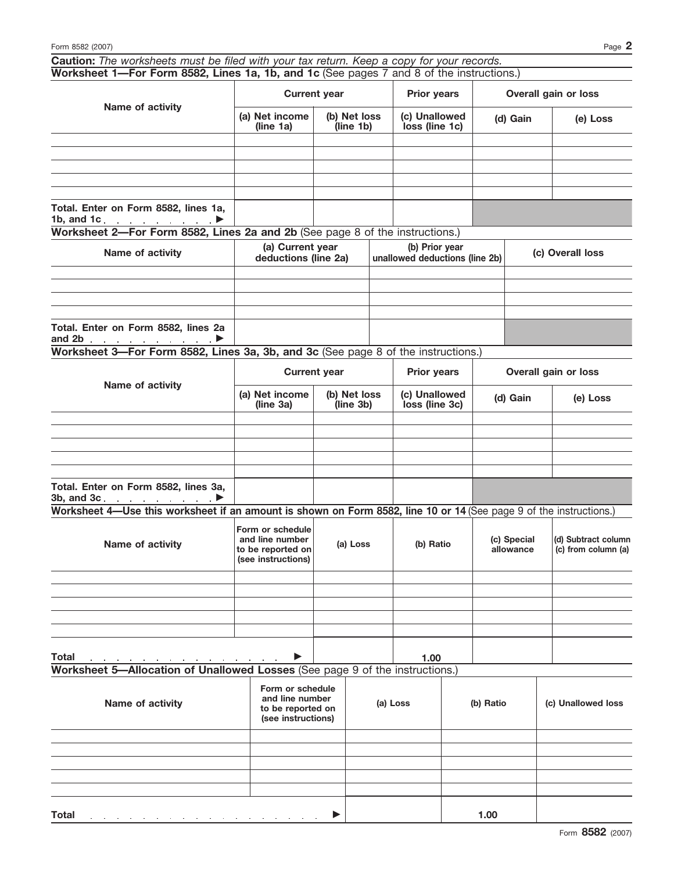| <b>Caution:</b> The worksheets must be filed with your tax return. Keep a copy for your records. |  |  |  |  |  |  |  |  |
|--------------------------------------------------------------------------------------------------|--|--|--|--|--|--|--|--|
| Worksheet 1—For Form 8582, Lines 1a, 1b, and 1c (See pages 7 and 8 of the instructions.)         |  |  |  |  |  |  |  |  |
|                                                                                                  |  |  |  |  |  |  |  |  |

| Name of activity                                                             | <b>Current year</b>                      |                           |  | <b>Prior years</b>                               |  | Overall gain or loss |          |  |
|------------------------------------------------------------------------------|------------------------------------------|---------------------------|--|--------------------------------------------------|--|----------------------|----------|--|
|                                                                              | (a) Net income<br>(line 1a)              | (b) Net loss<br>(line 1b) |  | (c) Unallowed<br>loss (line 1c)                  |  | (d) Gain             | (e) Loss |  |
|                                                                              |                                          |                           |  |                                                  |  |                      |          |  |
|                                                                              |                                          |                           |  |                                                  |  |                      |          |  |
|                                                                              |                                          |                           |  |                                                  |  |                      |          |  |
| Total. Enter on Form 8582, lines 1a,<br>1b, and 1c. $\blacksquare$           |                                          |                           |  |                                                  |  |                      |          |  |
| Worksheet 2-For Form 8582, Lines 2a and 2b (See page 8 of the instructions.) |                                          |                           |  |                                                  |  |                      |          |  |
| Name of activity                                                             | (a) Current year<br>deductions (line 2a) |                           |  | (b) Prior year<br>unallowed deductions (line 2b) |  | (c) Overall loss     |          |  |
|                                                                              |                                          |                           |  |                                                  |  |                      |          |  |

| Total. Enter on Form 8582, lines 2a<br>and $2b$ . |  |  |
|---------------------------------------------------|--|--|
|                                                   |  |  |
|                                                   |  |  |
|                                                   |  |  |
|                                                   |  |  |

**Worksheet 3—For Form 8582, Lines 3a, 3b, and 3c** (See page 8 of the instructions.)

| Name of activity                                                         | <b>Current year</b>         |                           | <b>Prior years</b>              | Overall gain or loss |          |  |
|--------------------------------------------------------------------------|-----------------------------|---------------------------|---------------------------------|----------------------|----------|--|
|                                                                          | (a) Net income<br>(line 3a) | (b) Net loss<br>(line 3b) | (c) Unallowed<br>loss (line 3c) | (d) Gain             | (e) Loss |  |
|                                                                          |                             |                           |                                 |                      |          |  |
|                                                                          |                             |                           |                                 |                      |          |  |
|                                                                          |                             |                           |                                 |                      |          |  |
|                                                                          |                             |                           |                                 |                      |          |  |
|                                                                          |                             |                           |                                 |                      |          |  |
| Total. Enter on Form 8582, lines 3a,<br>3b, and 3c $\blacktriangleright$ |                             |                           |                                 |                      |          |  |

**Worksheet 4—Use this worksheet if an amount is shown on Form 8582, line 10 or 14** (See page 9 of the instructions.)

| Name of activity | Form or schedule<br>and line number<br>to be reported on<br>(see instructions) | (a) Loss | (b) Ratio | (c) Special<br>allowance | (d) Subtract column<br>$(c)$ from column $(a)$ |
|------------------|--------------------------------------------------------------------------------|----------|-----------|--------------------------|------------------------------------------------|
|                  |                                                                                |          |           |                          |                                                |
|                  |                                                                                |          |           |                          |                                                |
|                  |                                                                                |          |           |                          |                                                |
|                  |                                                                                |          |           |                          |                                                |
|                  |                                                                                |          |           |                          |                                                |
|                  |                                                                                |          |           |                          |                                                |

**Total** © **1.00**

**Worksheet 5—Allocation of Unallowed Losses** (See page 9 of the instructions.)

| Name of activity                                                                         | Form or schedule<br>and line number<br>to be reported on<br>(see instructions) | (a) Loss | (b) Ratio | (c) Unallowed loss |
|------------------------------------------------------------------------------------------|--------------------------------------------------------------------------------|----------|-----------|--------------------|
|                                                                                          |                                                                                |          |           |                    |
|                                                                                          |                                                                                |          |           |                    |
|                                                                                          |                                                                                |          |           |                    |
|                                                                                          |                                                                                |          |           |                    |
|                                                                                          |                                                                                |          |           |                    |
| <b>Total</b><br>and a second contract of the contract of the contract of the contract of |                                                                                |          | 1.00      |                    |